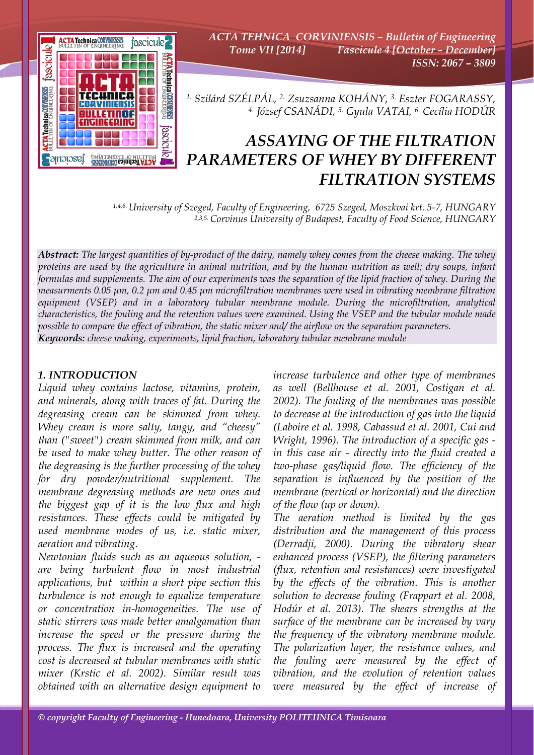

*ACTA TEHNICA CORVINIENSIS – Bulletin of Engineering Tome VII [2014] Fascicule 4 [October – December] ISSN: 2067 – 3809* 

*1. Szilárd SZÉLPÁL, 2. Zsuzsanna KOHÁNY, 3. Eszter FOGARASSY, 4. József CSANÁDI, 5. Gyula VATAI, 6. Cecília HODÚR*

## *ASSAYING OF THE FILTRATION PARAMETERS OF WHEY BY DIFFERENT FILTRATION SYSTEMS*

*1,4,6. University of Szeged, Faculty of Engineering, 6725 Szeged, Moszkvai krt. 5-7, HUNGARY 2,3,5. Corvinus University of Budapest, Faculty of Food Science, HUNGARY*

*Abstract: The largest quantities of by-product of the dairy, namely whey comes from the cheese making. The whey proteins are used by the agriculture in animal nutrition, and by the human nutrition as well; dry soups, infant formulas and supplements. The aim of our experiments was the separation of the lipid fraction of whey. During the measurments 0.05 μm, 0.2 μm and 0.45 μm microfiltration membranes were used in vibrating membrane filtration equipment (VSEP) and in a laboratory tubular membrane module. During the microfiltration, analytical characteristics, the fouling and the retention values were examined. Using the VSEP and the tubular module made possible to compare the effect of vibration, the static mixer and/ the airflow on the separation parameters. Keywords: cheese making, experiments, lipid fraction, laboratory tubular membrane module*

## *1. INTRODUCTION*

*Liquid whey contains lactose, vitamins, protein, and minerals, along with traces of fat. During the degreasing cream can be skimmed from whey. Whey cream is more salty, tangy, and "cheesy" than ("sweet") cream skimmed from milk, and can be used to make whey butter. The other reason of the degreasing is the further processing of the whey for dry powder/nutritional supplement. The membrane degreasing methods are new ones and the biggest gap of it is the low flux and high resistances. These effects could be mitigated by used membrane modes of us, i.e. static mixer, aeration and vibrating.* 

*Newtonian fluids such as an aqueous solution, are being turbulent flow in most industrial applications, but within a short pipe section this turbulence is not enough to equalize temperature or concentration in-homogeneities. The use of static stirrers was made better amalgamation than increase the speed or the pressure during the process. The flux is increased and the operating cost is decreased at tubular membranes with static mixer (Krstic et al. 2002). Similar result was obtained with an alternative design equipment to* 

*increase turbulence and other type of membranes as well (Bellhouse et al. 2001, Costigan et al. 2002). The fouling of the membranes was possible to decrease at the introduction of gas into the liquid (Laboire et al. 1998, Cabassud et al. 2001, Cui and Wright, 1996). The introduction of a specific gas in this case air - directly into the fluid created a two-phase gas/liquid flow. The efficiency of the separation is influenced by the position of the membrane (vertical or horizontal) and the direction of the flow (up or down).* 

*The aeration method is limited by the gas distribution and the management of this process (Derradji, 2000). During the vibratory shear enhanced process (VSEP), the filtering parameters (flux, retention and resistances) were investigated by the effects of the vibration. This is another solution to decrease fouling (Frappart et al. 2008, Hodúr et al. 2013). The shears strengths at the surface of the membrane can be increased by vary the frequency of the vibratory membrane module. The polarization layer, the resistance values, and the fouling were measured by the effect of vibration, and the evolution of retention values were measured by the effect of increase of*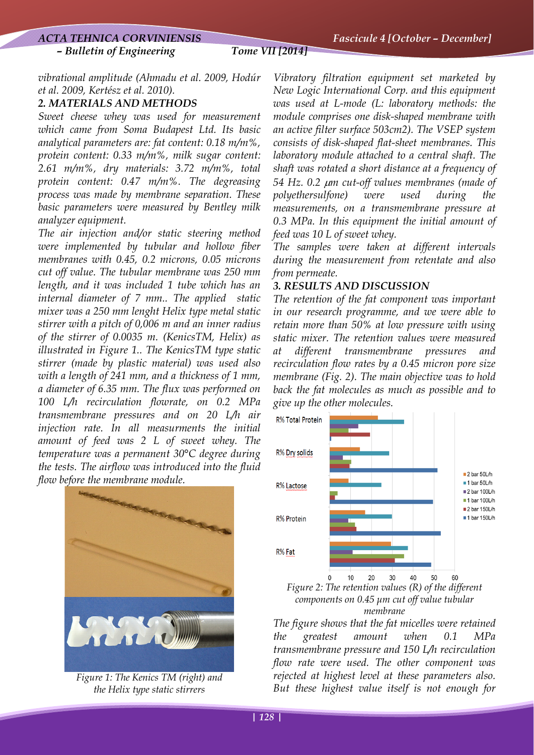*– Bulletin of Engineering Tome VII [2014]*

*vibrational amplitude (Ahmadu et al. 2009, Hodúr et al. 2009, Kertész et al. 2010).* 

## *2. MATERIALS AND METHODS*

*Sweet cheese whey was used for measurement which came from Soma Budapest Ltd. Its basic analytical parameters are: fat content: 0.18 m/m%, protein content: 0.33 m/m%, milk sugar content: 2.61 m/m%, dry materials: 3.72 m/m%, total protein content: 0.47 m/m%. The degreasing process was made by membrane separation. These basic parameters were measured by Bentley milk analyzer equipment.* 

*The air injection and/or static steering method were implemented by tubular and hollow fiber membranes with 0.45, 0.2 microns, 0.05 microns cut off value. The tubular membrane was 250 mm length, and it was included 1 tube which has an internal diameter of 7 mm.. The applied static mixer was a 250 mm lenght Helix type metal static stirrer with a pitch of 0,006 m and an inner radius of the stirrer of 0.0035 m. (KenicsTM, Helix) as illustrated in Figure 1.. The KenicsTM type static stirrer (made by plastic material) was used also with a length of 241 mm, and a thickness of 1 mm, a diameter of 6.35 mm. The flux was performed on 100 L/h recirculation flowrate, on 0.2 MPa transmembrane pressures and on 20 L/h air injection rate. In all measurments the initial amount of feed was 2 L of sweet whey. The temperature was a permanent 30°C degree during the tests. The airflow was introduced into the fluid flow before the membrane module.* 



*Figure 1: The Kenics TM (right) and the Helix type static stirrers* 

*Vibratory filtration equipment set marketed by New Logic International Corp. and this equipment was used at L-mode (L: laboratory methods: the module comprises one disk-shaped membrane with an active filter surface 503cm2). The VSEP system consists of disk-shaped flat-sheet membranes. This laboratory module attached to a central shaft. The shaft was rotated a short distance at a frequency of 54 Hz. 0.2* μ*m cut-off values membranes (made of polyethersulfone) were used during the measurements, on a transmembrane pressure at 0.3 MPa. In this equipment the initial amount of feed was 10 L of sweet whey.* 

*The samples were taken at different intervals during the measurement from retentate and also from permeate.* 

## *3. RESULTS AND DISCUSSION*

*The retention of the fat component was important in our research programme, and we were able to retain more than 50% at low pressure with using static mixer. The retention values were measured at different transmembrane pressures and recirculation flow rates by a 0.45 micron pore size membrane (Fig. 2). The main objective was to hold back the fat molecules as much as possible and to give up the other molecules.* 



*components on 0.45 μm cut off value tubular membrane* 

*The figure shows that the fat micelles were retained the greatest amount when 0.1 MPa transmembrane pressure and 150 L/h recirculation flow rate were used. The other component was rejected at highest level at these parameters also. But these highest value itself is not enough for*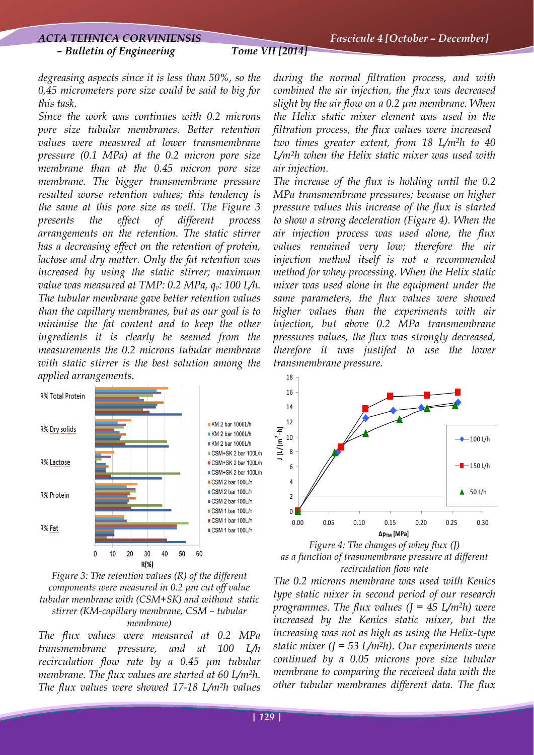*degreasing aspects since it is less than 50%, so the 0,45 micrometers pore size could be said to big for this task.* 

*Since the work was continues with 0.2 microns pore size tubular membranes. Better retention values were measured at lower transmembrane pressure (0.1 MPa) at the 0.2 micron pore size membrane than at the 0.45 micron pore size membrane. The bigger transmembrane pressure resulted worse retention values; this tendency is the same at this pore size as well. The Figure 3 presents the effect of different process arrangements on the retention. The static stirrer has a decreasing effect on the retention of protein, lactose and dry matter. Only the fat retention was increased by using the static stirrer; maximum value was measured at TMP: 0.2 MPa, q<sub>v</sub>: 100 L/h. The tubular membrane gave better retention values than the capillary membranes, but as our goal is to minimise the fat content and to keep the other ingredients it is clearly be seemed from the measurements the 0.2 microns tubular membrane with static stirrer is the best solution among the applied arrangements.* 



*Figure 3: The retention values (R) of the different components were measured in 0.2 μm cut off value tubular membrane with (CSM+SK) and without static stirrer (KM-capillary membrane, CSM – tubular membrane)* 

*The flux values were measured at 0.2 MPa transmembrane pressure, and at 100 L/h recirculation flow rate by a 0.45 μm tubular membrane. The flux values are started at 60 L/m2h. The flux values were showed 17-18 L/m2h values*  *during the normal filtration process, and with combined the air injection, the flux was decreased slight by the air flow on a 0.2 μm membrane. When the Helix static mixer element was used in the filtration process, the flux values were increased two times greater extent, from 18 L/m2h to 40 L/m2h when the Helix static mixer was used with air injection.* 

*The increase of the flux is holding until the 0.2 MPa transmembrane pressures; because on higher pressure values this increase of the flux is started to show a strong deceleration (Figure 4). When the air injection process was used alone, the flux values remained very low; therefore the air injection method itself is not a recommended method for whey processing. When the Helix static mixer was used alone in the equipment under the same parameters, the flux values were showed higher values than the experiments with air injection, but above 0.2 MPa transmembrane pressures values, the flux was strongly decreased, therefore it was justifed to use the lower transmembrane pressure.* 



*Figure 4: The changes of whey flux (J) as a function of trasnmembrane pressure at different recirculation flow rate* 

*The 0.2 microns membrane was used with Kenics type static mixer in second period of our research programmes. The flux values (J = 45 L/m2h) were increased by the Kenics static mixer, but the increasing was not as high as using the Helix-type static mixer (J = 53 L/m2h). Our experiments were continued by a 0.05 microns pore size tubular membrane to comparing the received data with the other tubular membranes different data. The flux*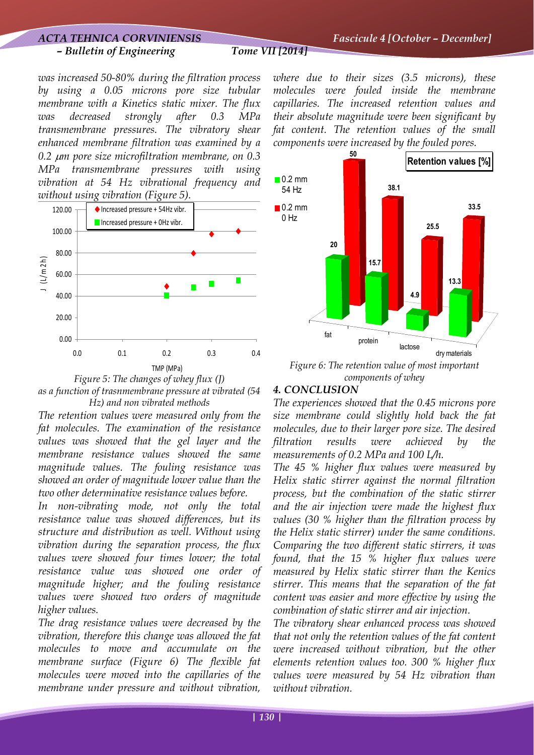# *– Bulletin of Engineering Tome VII [2014]*

*was increased 50-80% during the filtration process by using a 0.05 microns pore size tubular membrane with a Kinetics static mixer. The flux was decreased strongly after 0.3 MPa transmembrane pressures. The vibratory shear enhanced membrane filtration was examined by a 0.2* μ*m pore size microfiltration membrane, on 0.3 MPa transmembrane pressures with using vibration at 54 Hz vibrational frequency and without using vibration (Figure 5).*





*The retention values were measured only from the fat molecules. The examination of the resistance values was showed that the gel layer and the membrane resistance values showed the same magnitude values. The fouling resistance was showed an order of magnitude lower value than the two other determinative resistance values before.* 

*In non-vibrating mode, not only the total resistance value was showed differences, but its structure and distribution as well. Without using vibration during the separation process, the flux values were showed four times lower; the total resistance value was showed one order of magnitude higher; and the fouling resistance values were showed two orders of magnitude higher values.* 

*The drag resistance values were decreased by the vibration, therefore this change was allowed the fat molecules to move and accumulate on the membrane surface (Figure 6) The flexible fat molecules were moved into the capillaries of the membrane under pressure and without vibration,* 

*where due to their sizes (3.5 microns), these molecules were fouled inside the membrane capillaries. The increased retention values and their absolute magnitude were been significant by fat content. The retention values of the small components were increased by the fouled pores.* 



*Figure 6: The retention value of most important components of whey* 

## *4. CONCLUSION*

*The experiences showed that the 0.45 microns pore size membrane could slightly hold back the fat molecules, due to their larger pore size. The desired filtration results were achieved by the measurements of 0.2 MPa and 100 L/h.* 

*The 45 % higher flux values were measured by Helix static stirrer against the normal filtration process, but the combination of the static stirrer and the air injection were made the highest flux values (30 % higher than the filtration process by the Helix static stirrer) under the same conditions. Comparing the two different static stirrers, it was found, that the 15 % higher flux values were measured by Helix static stirrer than the Kenics stirrer. This means that the separation of the fat content was easier and more effective by using the combination of static stirrer and air injection.* 

*The vibratory shear enhanced process was showed that not only the retention values of the fat content were increased without vibration, but the other elements retention values too. 300 % higher flux values were measured by 54 Hz vibration than without vibration.*